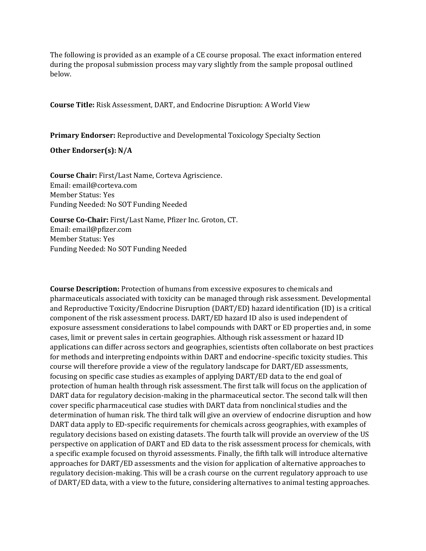The following is provided as an example of a CE course proposal. The exact information entered during the proposal submission process may vary slightly from the sample proposal outlined below.

**Course Title:** Risk Assessment, DART, and Endocrine Disruption: A World View

**Primary Endorser:** Reproductive and Developmental Toxicology Specialty Section

**Other Endorser(s): N/A**

**Course Chair:** First/Last Name, Corteva Agriscience. Email: email@corteva.com Member Status: Yes Funding Needed: No SOT Funding Needed

**Course Co-Chair:** First/Last Name, Pfizer Inc. Groton, CT. Email: email@pfizer.com Member Status: Yes Funding Needed: No SOT Funding Needed

**Course Description:** Protection of humans from excessive exposures to chemicals and pharmaceuticals associated with toxicity can be managed through risk assessment. Developmental and Reproductive Toxicity/Endocrine Disruption (DART/ED) hazard identification (ID) is a critical component of the risk assessment process. DART/ED hazard ID also is used independent of exposure assessment considerations to label compounds with DART or ED properties and, in some cases, limit or prevent sales in certain geographies. Although risk assessment or hazard ID applications can differ across sectors and geographies, scientists often collaborate on best practices for methods and interpreting endpoints within DART and endocrine-specific toxicity studies. This course will therefore provide a view of the regulatory landscape for DART/ED assessments, focusing on specific case studies as examples of applying DART/ED data to the end goal of protection of human health through risk assessment. The first talk will focus on the application of DART data for regulatory decision-making in the pharmaceutical sector. The second talk will then cover specific pharmaceutical case studies with DART data from nonclinical studies and the determination of human risk. The third talk will give an overview of endocrine disruption and how DART data apply to ED-specific requirements for chemicals across geographies, with examples of regulatory decisions based on existing datasets. The fourth talk will provide an overview of the US perspective on application of DART and ED data to the risk assessment process for chemicals, with a specific example focused on thyroid assessments. Finally, the fifth talk will introduce alternative approaches for DART/ED assessments and the vision for application of alternative approaches to regulatory decision-making. This will be a crash course on the current regulatory approach to use of DART/ED data, with a view to the future, considering alternatives to animal testing approaches.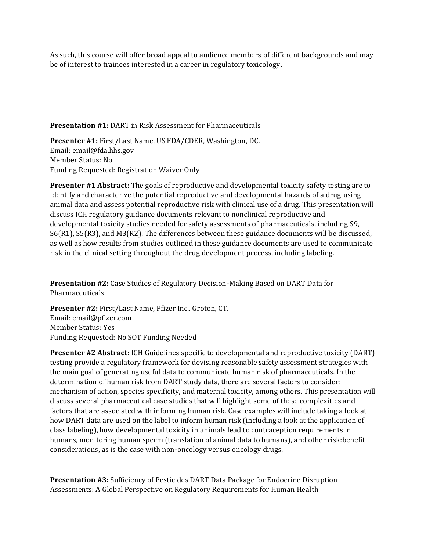As such, this course will offer broad appeal to audience members of different backgrounds and may be of interest to trainees interested in a career in regulatory toxicology.

**Presentation #1:** DART in Risk Assessment for Pharmaceuticals

**Presenter #1:** First/Last Name, US FDA/CDER, Washington, DC. Email: email@fda.hhs.gov Member Status: No Funding Requested: Registration Waiver Only

**Presenter #1 Abstract:** The goals of reproductive and developmental toxicity safety testing are to identify and characterize the potential reproductive and developmental hazards of a drug using animal data and assess potential reproductive risk with clinical use of a drug. This presentation will discuss ICH regulatory guidance documents relevant to nonclinical reproductive and developmental toxicity studies needed for safety assessments of pharmaceuticals, including S9, S6(R1), S5(R3), and M3(R2). The differences between these guidance documents will be discussed, as well as how results from studies outlined in these guidance documents are used to communicate risk in the clinical setting throughout the drug development process, including labeling.

**Presentation #2:** Case Studies of Regulatory Decision-Making Based on DART Data for Pharmaceuticals

**Presenter #2:** First/Last Name, Pfizer Inc., Groton, CT. Email: email@pfizer.com Member Status: Yes Funding Requested: No SOT Funding Needed

**Presenter #2 Abstract:** ICH Guidelines specific to developmental and reproductive toxicity (DART) testing provide a regulatory framework for devising reasonable safety assessment strategies with the main goal of generating useful data to communicate human risk of pharmaceuticals. In the determination of human risk from DART study data, there are several factors to consider: mechanism of action, species specificity, and maternal toxicity, among others. This presentation will discuss several pharmaceutical case studies that will highlight some of these complexities and factors that are associated with informing human risk. Case examples will include taking a look at how DART data are used on the label to inform human risk (including a look at the application of class labeling), how developmental toxicity in animals lead to contraception requirements in humans, monitoring human sperm (translation of animal data to humans), and other risk:benefit considerations, as is the case with non-oncology versus oncology drugs.

**Presentation #3:** Sufficiency of Pesticides DART Data Package for Endocrine Disruption Assessments: A Global Perspective on Regulatory Requirements for Human Health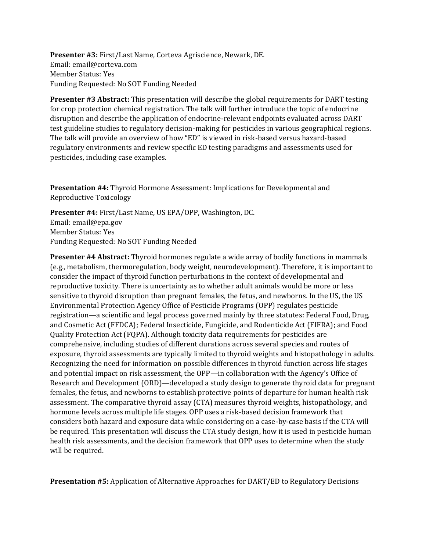**Presenter #3:** First/Last Name, Corteva Agriscience, Newark, DE. Email: email@corteva.com Member Status: Yes Funding Requested: No SOT Funding Needed

**Presenter #3 Abstract:** This presentation will describe the global requirements for DART testing for crop protection chemical registration. The talk will further introduce the topic of endocrine disruption and describe the application of endocrine-relevant endpoints evaluated across DART test guideline studies to regulatory decision-making for pesticides in various geographical regions. The talk will provide an overview of how "ED" is viewed in risk-based versus hazard-based regulatory environments and review specific ED testing paradigms and assessments used for pesticides, including case examples.

**Presentation #4:** Thyroid Hormone Assessment: Implications for Developmental and Reproductive Toxicology

**Presenter #4:** First/Last Name, US EPA/OPP, Washington, DC. Email: email@epa.gov Member Status: Yes Funding Requested: No SOT Funding Needed

**Presenter #4 Abstract:** Thyroid hormones regulate a wide array of bodily functions in mammals (e.g., metabolism, thermoregulation, body weight, neurodevelopment). Therefore, it is important to consider the impact of thyroid function perturbations in the context of developmental and reproductive toxicity. There is uncertainty as to whether adult animals would be more or less sensitive to thyroid disruption than pregnant females, the fetus, and newborns. In the US, the US Environmental Protection Agency Office of Pesticide Programs (OPP) regulates pesticide registration—a scientific and legal process governed mainly by three statutes: Federal Food, Drug, and Cosmetic Act (FFDCA); Federal Insecticide, Fungicide, and Rodenticide Act (FIFRA); and Food Quality Protection Act (FQPA). Although toxicity data requirements for pesticides are comprehensive, including studies of different durations across several species and routes of exposure, thyroid assessments are typically limited to thyroid weights and histopathology in adults. Recognizing the need for information on possible differences in thyroid function across life stages and potential impact on risk assessment, the OPP—in collaboration with the Agency's Office of Research and Development (ORD)—developed a study design to generate thyroid data for pregnant females, the fetus, and newborns to establish protective points of departure for human health risk assessment. The comparative thyroid assay (CTA) measures thyroid weights, histopathology, and hormone levels across multiple life stages. OPP uses a risk-based decision framework that considers both hazard and exposure data while considering on a case-by-case basis if the CTA will be required. This presentation will discuss the CTA study design, how it is used in pesticide human health risk assessments, and the decision framework that OPP uses to determine when the study will be required.

**Presentation #5:** Application of Alternative Approaches for DART/ED to Regulatory Decisions